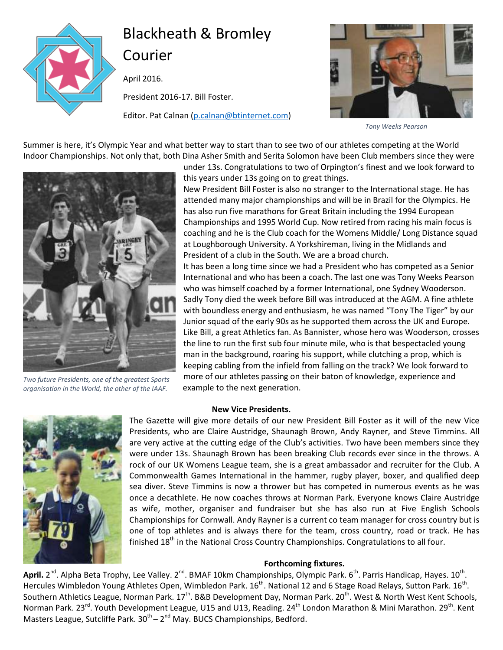

# Blackheath & Bromley Courier

April 2016.

President 2016-17. Bill Foster.

Editor. Pat Calnan [\(p.calnan@btinternet.com\)](mailto:p.calnan@btinternet.com)



*Tony Weeks Pearson*

Summer is here, it's Olympic Year and what better way to start than to see two of our athletes competing at the World Indoor Championships. Not only that, both Dina Asher Smith and Serita Solomon have been Club members since they were



*Two future Presidents, one of the greatest Sports organisation in the World, the other of the IAAF.*

under 13s. Congratulations to two of Orpington's finest and we look forward to this years under 13s going on to great things.

New President Bill Foster is also no stranger to the International stage. He has attended many major championships and will be in Brazil for the Olympics. He has also run five marathons for Great Britain including the 1994 European Championships and 1995 World Cup. Now retired from racing his main focus is coaching and he is the Club coach for the Womens Middle/ Long Distance squad at Loughborough University. A Yorkshireman, living in the Midlands and President of a club in the South. We are a broad church.

It has been a long time since we had a President who has competed as a Senior International and who has been a coach. The last one was Tony Weeks Pearson who was himself coached by a former International, one Sydney Wooderson. Sadly Tony died the week before Bill was introduced at the AGM. A fine athlete with boundless energy and enthusiasm, he was named "Tony The Tiger" by our Junior squad of the early 90s as he supported them across the UK and Europe. Like Bill, a great Athletics fan. As Bannister, whose hero was Wooderson, crosses the line to run the first sub four minute mile, who is that bespectacled young man in the background, roaring his support, while clutching a prop, which is keeping cabling from the infield from falling on the track? We look forward to more of our athletes passing on their baton of knowledge, experience and example to the next generation.

### **New Vice Presidents.**



The Gazette will give more details of our new President Bill Foster as it will of the new Vice Presidents, who are Claire Austridge, Shaunagh Brown, Andy Rayner, and Steve Timmins. All are very active at the cutting edge of the Club's activities. Two have been members since they were under 13s. Shaunagh Brown has been breaking Club records ever since in the throws. A rock of our UK Womens League team, she is a great ambassador and recruiter for the Club. A Commonwealth Games International in the hammer, rugby player, boxer, and qualified deep sea diver. Steve Timmins is now a thrower but has competed in numerous events as he was once a decathlete. He now coaches throws at Norman Park. Everyone knows Claire Austridge as wife, mother, organiser and fundraiser but she has also run at Five English Schools Championships for Cornwall. Andy Rayner is a current co team manager for cross country but is one of top athletes and is always there for the team, cross country, road or track. He has finished  $18<sup>th</sup>$  in the National Cross Country Championships. Congratulations to all four.

### **Forthcoming fixtures.**

April. 2<sup>nd</sup>. Alpha Beta Trophy, Lee Valley. 2<sup>nd</sup>. BMAF 10km Championships, Olympic Park. 6<sup>th</sup>. Parris Handicap, Hayes. 10<sup>th</sup>. Hercules Wimbledon Young Athletes Open, Wimbledon Park. 16<sup>th</sup>. National 12 and 6 Stage Road Relays, Sutton Park. 16<sup>th</sup>. Southern Athletics League, Norman Park. 17<sup>th</sup>. B&B Development Day, Norman Park. 20<sup>th</sup>. West & North West Kent Schools, Norman Park. 23<sup>rd</sup>. Youth Development League, U15 and U13, Reading. 24<sup>th</sup> London Marathon & Mini Marathon. 29<sup>th</sup>. Kent Masters League, Sutcliffe Park. 30<sup>th</sup> – 2<sup>nd</sup> May. BUCS Championships, Bedford.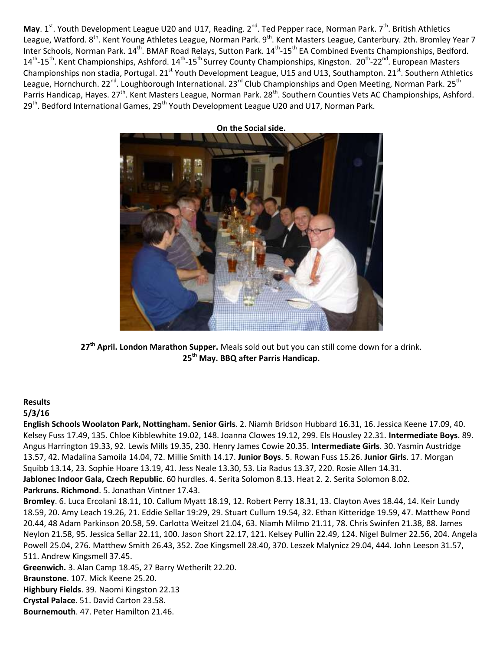May. 1<sup>st</sup>. Youth Development League U20 and U17, Reading. 2<sup>nd</sup>. Ted Pepper race, Norman Park. 7<sup>th</sup>. British Athletics League, Watford. 8<sup>th</sup>. Kent Young Athletes League, Norman Park. 9<sup>th</sup>. Kent Masters League, Canterbury. 2th. Bromley Year 7 Inter Schools, Norman Park. 14<sup>th</sup>. BMAF Road Relays, Sutton Park. 14<sup>th</sup>-15<sup>th</sup> EA Combined Events Championships, Bedford. 14<sup>th</sup>-15<sup>th</sup>. Kent Championships, Ashford. 14<sup>th</sup>-15<sup>th</sup> Surrey County Championships, Kingston. 20<sup>th</sup>-22<sup>nd</sup>. European Masters Championships non stadia, Portugal. 21<sup>st</sup> Youth Development League, U15 and U13, Southampton. 21<sup>st</sup>. Southern Athletics League, Hornchurch. 22<sup>nd</sup>. Loughborough International. 23<sup>rd</sup> Club Championships and Open Meeting, Norman Park. 25<sup>th</sup> Parris Handicap, Hayes. 27<sup>th</sup>. Kent Masters League, Norman Park. 28<sup>th</sup>. Southern Counties Vets AC Championships, Ashford. 29<sup>th</sup>. Bedford International Games, 29<sup>th</sup> Youth Development League U20 and U17, Norman Park.



**27th April. London Marathon Supper.** Meals sold out but you can still come down for a drink. **25th May. BBQ after Parris Handicap.**

### **Results**

### **5/3/16**

**English Schools Woolaton Park, Nottingham. Senior Girls**. 2. Niamh Bridson Hubbard 16.31, 16. Jessica Keene 17.09, 40. Kelsey Fuss 17.49, 135. Chloe Kibblewhite 19.02, 148. Joanna Clowes 19.12, 299. Els Housley 22.31. **Intermediate Boys**. 89. Angus Harrington 19.33, 92. Lewis Mills 19.35, 230. Henry James Cowie 20.35. **Intermediate Girls**. 30. Yasmin Austridge 13.57, 42. Madalina Samoila 14.04, 72. Millie Smith 14.17. **Junior Boys**. 5. Rowan Fuss 15.26. **Junior Girls**. 17. Morgan Squibb 13.14, 23. Sophie Hoare 13.19, 41. Jess Neale 13.30, 53. Lia Radus 13.37, 220. Rosie Allen 14.31. **Jablonec Indoor Gala, Czech Republic**. 60 hurdles. 4. Serita Solomon 8.13. Heat 2. 2. Serita Solomon 8.02. **Parkruns. Richmond**. 5. Jonathan Vintner 17.43.

**Bromley**. 6. Luca Ercolani 18.11, 10. Callum Myatt 18.19, 12. Robert Perry 18.31, 13. Clayton Aves 18.44, 14. Keir Lundy 18.59, 20. Amy Leach 19.26, 21. Eddie Sellar 19:29, 29. Stuart Cullum 19.54, 32. Ethan Kitteridge 19.59, 47. Matthew Pond 20.44, 48 Adam Parkinson 20.58, 59. Carlotta Weitzel 21.04, 63. Niamh Milmo 21.11, 78. Chris Swinfen 21.38, 88. James Neylon 21.58, 95. Jessica Sellar 22.11, 100. Jason Short 22.17, 121. Kelsey Pullin 22.49, 124. Nigel Bulmer 22.56, 204. Angela Powell 25.04, 276. Matthew Smith 26.43, 352. Zoe Kingsmell 28.40, 370. Leszek Malynicz 29.04, 444. John Leeson 31.57, 511. Andrew Kingsmell 37.45.

**Greenwich.** 3. Alan Camp 18.45, 27 Barry Wetherilt 22.20.

**Braunstone**. 107. Mick Keene 25.20.

**Highbury Fields**. 39. Naomi Kingston 22.13

**Crystal Palace**. 51. David Carton 23.58.

**Bournemouth**. 47. Peter Hamilton 21.46.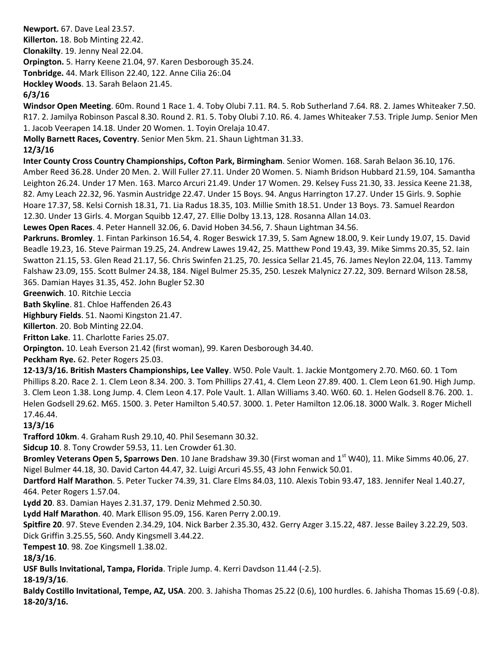**Newport.** 67. Dave Leal 23.57. **Killerton.** 18. Bob Minting 22.42. **Clonakilty**. 19. Jenny Neal 22.04. **Orpington.** 5. Harry Keene 21.04, 97. Karen Desborough 35.24. **Tonbridge.** 44. Mark Ellison 22.40, 122. Anne Cilia 26:.04

**Hockley Woods**. 13. Sarah Belaon 21.45.

## **6/3/16**

**Windsor Open Meeting**. 60m. Round 1 Race 1. 4. Toby Olubi 7.11. R4. 5. Rob Sutherland 7.64. R8. 2. James Whiteaker 7.50. R17. 2. Jamilya Robinson Pascal 8.30. Round 2. R1. 5. Toby Olubi 7.10. R6. 4. James Whiteaker 7.53. Triple Jump. Senior Men 1. Jacob Veerapen 14.18. Under 20 Women. 1. Toyin Orelaja 10.47.

**Molly Barnett Races, Coventry**. Senior Men 5km. 21. Shaun Lightman 31.33.

# **12/3/16**

**Inter County Cross Country Championships, Cofton Park, Birmingham**. Senior Women. 168. Sarah Belaon 36.10, 176. Amber Reed 36.28. Under 20 Men. 2. Will Fuller 27.11. Under 20 Women. 5. Niamh Bridson Hubbard 21.59, 104. Samantha Leighton 26.24. Under 17 Men. 163. Marco Arcuri 21.49. Under 17 Women. 29. Kelsey Fuss 21.30, 33. Jessica Keene 21.38, 82. Amy Leach 22.32, 96. Yasmin Austridge 22.47. Under 15 Boys. 94. Angus Harrington 17.27. Under 15 Girls. 9. Sophie Hoare 17.37, 58. Kelsi Cornish 18.31, 71. Lia Radus 18.35, 103. Millie Smith 18.51. Under 13 Boys. 73. Samuel Reardon 12.30. Under 13 Girls. 4. Morgan Squibb 12.47, 27. Ellie Dolby 13.13, 128. Rosanna Allan 14.03.

**Lewes Open Races**. 4. Peter Hannell 32.06, 6. David Hoben 34.56, 7. Shaun Lightman 34.56.

**Parkruns. Bromley**. 1. Fintan Parkinson 16.54, 4. Roger Beswick 17.39, 5. Sam Agnew 18.00, 9. Keir Lundy 19.07, 15. David Beadle 19.23, 16. Steve Pairman 19.25, 24. Andrew Lawes 19.42, 25. Matthew Pond 19.43, 39. Mike Simms 20.35, 52. Iain Swatton 21.15, 53. Glen Read 21.17, 56. Chris Swinfen 21.25, 70. Jessica Sellar 21.45, 76. James Neylon 22.04, 113. Tammy Falshaw 23.09, 155. Scott Bulmer 24.38, 184. Nigel Bulmer 25.35, 250. Leszek Malynicz 27.22, 309. Bernard Wilson 28.58, 365. Damian Hayes 31.35, 452. John Bugler 52.30

**Greenwich**. 10. Ritchie Leccia

**Bath Skyline**. 81. Chloe Haffenden 26.43

**Highbury Fields**. 51. Naomi Kingston 21.47.

**Killerton**. 20. Bob Minting 22.04.

**Fritton Lake**. 11. Charlotte Faries 25.07.

**Orpington.** 10. Leah Everson 21.42 (first woman), 99. Karen Desborough 34.40.

**Peckham Rye.** 62. Peter Rogers 25.03.

**12-13/3/16. British Masters Championships, Lee Valley**. W50. Pole Vault. 1. Jackie Montgomery 2.70. M60. 60. 1 Tom Phillips 8.20. Race 2. 1. Clem Leon 8.34. 200. 3. Tom Phillips 27.41, 4. Clem Leon 27.89. 400. 1. Clem Leon 61.90. High Jump. 3. Clem Leon 1.38. Long Jump. 4. Clem Leon 4.17. Pole Vault. 1. Allan Williams 3.40. W60. 60. 1. Helen Godsell 8.76. 200. 1. Helen Godsell 29.62. M65. 1500. 3. Peter Hamilton 5.40.57. 3000. 1. Peter Hamilton 12.06.18. 3000 Walk. 3. Roger Michell 17.46.44.

# **13/3/16**

**Trafford 10km**. 4. Graham Rush 29.10, 40. Phil Sesemann 30.32.

**Sidcup 10**. 8. Tony Crowder 59.53, 11. Len Crowder 61.30.

Bromley Veterans Open 5, Sparrows Den. 10 Jane Bradshaw 39.30 (First woman and 1<sup>st</sup> W40), 11. Mike Simms 40.06, 27. Nigel Bulmer 44.18, 30. David Carton 44.47, 32. Luigi Arcuri 45.55, 43 John Fenwick 50.01.

**Dartford Half Marathon**. 5. Peter Tucker 74.39, 31. Clare Elms 84.03, 110. Alexis Tobin 93.47, 183. Jennifer Neal 1.40.27, 464. Peter Rogers 1.57.04.

**Lydd 20**. 83. Damian Hayes 2.31.37, 179. Deniz Mehmed 2.50.30.

**Lydd Half Marathon**. 40. Mark Ellison 95.09, 156. Karen Perry 2.00.19.

**Spitfire 20**. 97. Steve Evenden 2.34.29, 104. Nick Barber 2.35.30, 432. Gerry Azger 3.15.22, 487. Jesse Bailey 3.22.29, 503. Dick Griffin 3.25.55, 560. Andy Kingsmell 3.44.22.

**Tempest 10**. 98. Zoe Kingsmell 1.38.02.

**18/3/16**.

**USF Bulls Invitational, Tampa, Florida**. Triple Jump. 4. Kerri Davdson 11.44 (-2.5).

**18-19/3/16**.

**Baldy Costillo Invitational, Tempe, AZ, USA**. 200. 3. Jahisha Thomas 25.22 (0.6), 100 hurdles. 6. Jahisha Thomas 15.69 (-0.8). **18-20/3/16.**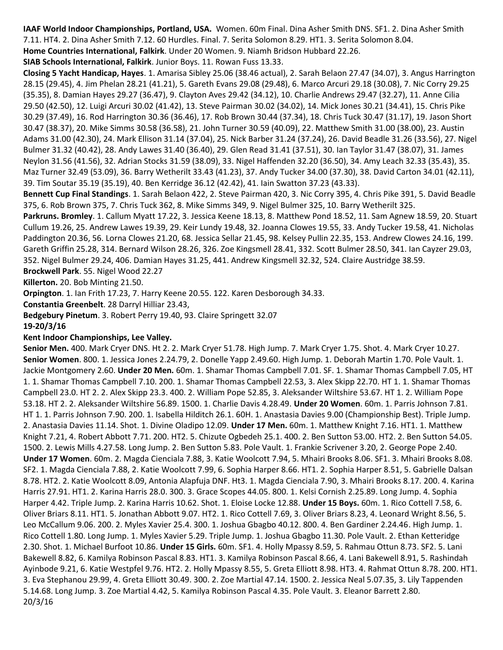**IAAF World Indoor Championships, Portland, USA.** Women. 60m Final. Dina Asher Smith DNS. SF1. 2. Dina Asher Smith 7.11. HT4. 2. Dina Asher Smith 7.12. 60 Hurdles. Final. 7. Serita Solomon 8.29. HT1. 3. Serita Solomon 8.04.

**Home Countries International, Falkirk**. Under 20 Women. 9. Niamh Bridson Hubbard 22.26.

**SIAB Schools International, Falkirk**. Junior Boys. 11. Rowan Fuss 13.33.

**Closing 5 Yacht Handicap, Hayes**. 1. Amarisa Sibley 25.06 (38.46 actual), 2. Sarah Belaon 27.47 (34.07), 3. Angus Harrington 28.15 (29.45), 4. Jim Phelan 28.21 (41.21), 5. Gareth Evans 29.08 (29.48), 6. Marco Arcuri 29.18 (30.08), 7. Nic Corry 29.25 (35.35), 8. Damian Hayes 29.27 (36.47), 9. Clayton Aves 29.42 (34.12), 10. Charlie Andrews 29.47 (32.27), 11. Anne Cilia 29.50 (42.50), 12. Luigi Arcuri 30.02 (41.42), 13. Steve Pairman 30.02 (34.02), 14. Mick Jones 30.21 (34.41), 15. Chris Pike 30.29 (37.49), 16. Rod Harrington 30.36 (36.46), 17. Rob Brown 30.44 (37.34), 18. Chris Tuck 30.47 (31.17), 19. Jason Short 30.47 (38.37), 20. Mike Simms 30.58 (36.58), 21. John Turner 30.59 (40.09), 22. Matthew Smith 31.00 (38.00), 23. Austin Adams 31.00 (42.30), 24. Mark Ellison 31.14 (37.04), 25. Nick Barber 31.24 (37.24), 26. David Beadle 31.26 (33.56), 27. Nigel Bulmer 31.32 (40.42), 28. Andy Lawes 31.40 (36.40), 29. Glen Read 31.41 (37.51), 30. Ian Taylor 31.47 (38.07), 31. James Neylon 31.56 (41.56), 32. Adrian Stocks 31.59 (38.09), 33. Nigel Haffenden 32.20 (36.50), 34. Amy Leach 32.33 (35.43), 35. Maz Turner 32.49 (53.09), 36. Barry Wetherilt 33.43 (41.23), 37. Andy Tucker 34.00 (37.30), 38. David Carton 34.01 (42.11), 39. Tim Soutar 35.19 (35.19), 40. Ben Kerridge 36.12 (42.42), 41. Iain Swatton 37.23 (43.33).

**Bennett Cup Final Standings**. 1. Sarah Belaon 422, 2. Steve Pairman 420, 3. Nic Corry 395, 4. Chris Pike 391, 5. David Beadle 375, 6. Rob Brown 375, 7. Chris Tuck 362, 8. Mike Simms 349, 9. Nigel Bulmer 325, 10. Barry Wetherilt 325.

**Parkruns. Bromley**. 1. Callum Myatt 17.22, 3. Jessica Keene 18.13, 8. Matthew Pond 18.52, 11. Sam Agnew 18.59, 20. Stuart Cullum 19.26, 25. Andrew Lawes 19.39, 29. Keir Lundy 19.48, 32. Joanna Clowes 19.55, 33. Andy Tucker 19.58, 41. Nicholas Paddington 20.36, 56. Lorna Clowes 21.20, 68. Jessica Sellar 21.45, 98. Kelsey Pullin 22.35, 153. Andrew Clowes 24.16, 199. Gareth Griffin 25.28, 314. Bernard Wilson 28.26, 326. Zoe Kingsmell 28.41, 332. Scott Bulmer 28.50, 341. Ian Cayzer 29.03, 352. Nigel Bulmer 29.24, 406. Damian Hayes 31.25, 441. Andrew Kingsmell 32.32, 524. Claire Austridge 38.59.

**Brockwell Park**. 55. Nigel Wood 22.27

**Killerton.** 20. Bob Minting 21.50.

**Orpington**. 1. Ian Frith 17.23, 7. Harry Keene 20.55. 122. Karen Desborough 34.33.

**Constantia Greenbelt**. 28 Darryl Hilliar 23.43,

**Bedgebury Pinetum**. 3. Robert Perry 19.40, 93. Claire Springett 32.07

**19-20/3/16**

### **Kent Indoor Championships, Lee Valley.**

**Senior Men.** 400. Mark Cryer DNS. Ht 2. 2. Mark Cryer 51.78. High Jump. 7. Mark Cryer 1.75. Shot. 4. Mark Cryer 10.27. **Senior Women**. 800. 1. Jessica Jones 2.24.79, 2. Donelle Yapp 2.49.60. High Jump. 1. Deborah Martin 1.70. Pole Vault. 1. Jackie Montgomery 2.60. **Under 20 Men.** 60m. 1. Shamar Thomas Campbell 7.01. SF. 1. Shamar Thomas Campbell 7.05, HT 1. 1. Shamar Thomas Campbell 7.10. 200. 1. Shamar Thomas Campbell 22.53, 3. Alex Skipp 22.70. HT 1. 1. Shamar Thomas Campbell 23.0. HT 2. 2. Alex Skipp 23.3. 400. 2. William Pope 52.85, 3. Aleksander Wiltshire 53.67. HT 1. 2. William Pope 53.18. HT 2. 2. Aleksander Wiltshire 56.89. 1500. 1. Charlie Davis 4.28.49. **Under 20 Women**. 60m. 1. Parris Johnson 7.81. HT 1. 1. Parris Johnson 7.90. 200. 1. Isabella Hilditch 26.1. 60H. 1. Anastasia Davies 9.00 (Championship Best). Triple Jump. 2. Anastasia Davies 11.14. Shot. 1. Divine Oladipo 12.09. **Under 17 Men.** 60m. 1. Matthew Knight 7.16. HT1. 1. Matthew Knight 7.21, 4. Robert Abbott 7.71. 200. HT2. 5. Chizute Ogbedeh 25.1. 400. 2. Ben Sutton 53.00. HT2. 2. Ben Sutton 54.05. 1500. 2. Lewis Mills 4.27.58. Long Jump. 2. Ben Sutton 5.83. Pole Vault. 1. Frankie Scrivener 3.20, 2. George Pope 2.40. **Under 17 Women**. 60m. 2. Magda Cienciala 7.88, 3. Katie Woolcott 7.94, 5. Mhairi Brooks 8.06. SF1. 3. Mhairi Brooks 8.08. SF2. 1. Magda Cienciala 7.88, 2. Katie Woolcott 7.99, 6. Sophia Harper 8.66. HT1. 2. Sophia Harper 8.51, 5. Gabrielle Dalsan 8.78. HT2. 2. Katie Woolcott 8.09, Antonia Alapfuja DNF. Ht3. 1. Magda Cienciala 7.90, 3. Mhairi Brooks 8.17. 200. 4. Karina Harris 27.91. HT1. 2. Karina Harris 28.0. 300. 3. Grace Scopes 44.05. 800. 1. Kelsi Cornish 2.25.89. Long Jump. 4. Sophia Harper 4.42. Triple Jump. 2. Karina Harris 10.62. Shot. 1. Eloise Locke 12.88. **Under 15 Boys.** 60m. 1. Rico Cottell 7.58, 6. Oliver Briars 8.11. HT1. 5. Jonathan Abbott 9.07. HT2. 1. Rico Cottell 7.69, 3. Oliver Briars 8.23, 4. Leonard Wright 8.56, 5. Leo McCallum 9.06. 200. 2. Myles Xavier 25.4. 300. 1. Joshua Gbagbo 40.12. 800. 4. Ben Gardiner 2.24.46. High Jump. 1. Rico Cottell 1.80. Long Jump. 1. Myles Xavier 5.29. Triple Jump. 1. Joshua Gbagbo 11.30. Pole Vault. 2. Ethan Ketteridge 2.30. Shot. 1. Michael Burfoot 10.86. **Under 15 Girls.** 60m. SF1. 4. Holly Mpassy 8.59, 5. Rahmau Ottun 8.73. SF2. 5. Lani Bakewell 8.82, 6. Kamilya Robinson Pascal 8.83. HT1. 3. Kamilya Robinson Pascal 8.66, 4. Lani Bakewell 8.91, 5. Rashindah Ayinbode 9.21, 6. Katie Westpfel 9.76. HT2. 2. Holly Mpassy 8.55, 5. Greta Elliott 8.98. HT3. 4. Rahmat Ottun 8.78. 200. HT1. 3. Eva Stephanou 29.99, 4. Greta Elliott 30.49. 300. 2. Zoe Martial 47.14. 1500. 2. Jessica Neal 5.07.35, 3. Lily Tappenden 5.14.68. Long Jump. 3. Zoe Martial 4.42, 5. Kamilya Robinson Pascal 4.35. Pole Vault. 3. Eleanor Barrett 2.80. 20/3/16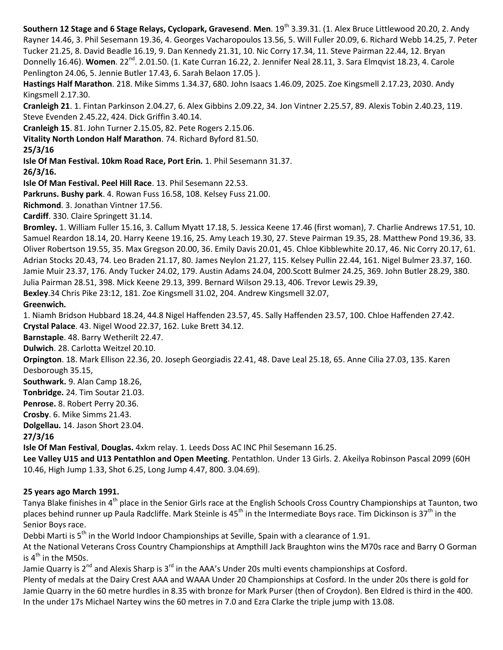**Southern 12 Stage and 6 Stage Relays, Cyclopark, Gravesend. Men. 19<sup>th</sup> 3.39.31. (1. Alex Bruce Littlewood 20.20, 2. Andy** Rayner 14.46, 3. Phil Sesemann 19.36, 4. Georges Vacharopoulos 13.56, 5. Will Fuller 20.09, 6. Richard Webb 14.25, 7. Peter Tucker 21.25, 8. David Beadle 16.19, 9. Dan Kennedy 21.31, 10. Nic Corry 17.34, 11. Steve Pairman 22.44, 12. Bryan Donnelly 16.46). Women. 22<sup>nd</sup>. 2.01.50. (1. Kate Curran 16.22, 2. Jennifer Neal 28.11, 3. Sara Elmqvist 18.23, 4. Carole Penlington 24.06, 5. Jennie Butler 17.43, 6. Sarah Belaon 17.05 ). **Hastings Half Marathon**. 218. Mike Simms 1.34.37, 680. John Isaacs 1.46.09, 2025. Zoe Kingsmell 2.17.23, 2030. Andy Kingsmell 2.17.30. **Cranleigh 21**. 1. Fintan Parkinson 2.04.27, 6. Alex Gibbins 2.09.22, 34. Jon Vintner 2.25.57, 89. Alexis Tobin 2.40.23, 119. Steve Evenden 2.45.22, 424. Dick Griffin 3.40.14. **Cranleigh 15**. 81. John Turner 2.15.05, 82. Pete Rogers 2.15.06. **Vitality North London Half Marathon**. 74. Richard Byford 81.50. **25/3/16 Isle Of Man Festival. 10km Road Race, Port Erin.** 1. Phil Sesemann 31.37. **26/3/16. Isle Of Man Festival. Peel Hill Race**. 13. Phil Sesemann 22.53. **Parkruns. Bushy park**. 4. Rowan Fuss 16.58, 108. Kelsey Fuss 21.00. **Richmond**. 3. Jonathan Vintner 17.56. **Cardiff**. 330. Claire Springett 31.14. **Bromley.** 1. William Fuller 15.16, 3. Callum Myatt 17.18, 5. Jessica Keene 17.46 (first woman), 7. Charlie Andrews 17.51, 10. Samuel Reardon 18.14, 20. Harry Keene 19.16, 25. Amy Leach 19.30, 27. Steve Pairman 19.35, 28. Matthew Pond 19.36, 33. Oliver Robertson 19.55, 35. Max Gregson 20.00, 36. Emily Davis 20.01, 45. Chloe Kibblewhite 20.17, 46. Nic Corry 20.17, 61. Adrian Stocks 20.43, 74. Leo Braden 21.17, 80. James Neylon 21.27, 115. Kelsey Pullin 22.44, 161. Nigel Bulmer 23.37, 160. Jamie Muir 23.37, 176. Andy Tucker 24.02, 179. Austin Adams 24.04, 200.Scott Bulmer 24.25, 369. John Butler 28.29, 380. Julia Pairman 28.51, 398. Mick Keene 29.13, 399. Bernard Wilson 29.13, 406. Trevor Lewis 29.39, **Bexley**.34 Chris Pike 23:12, 181. Zoe Kingsmell 31.02, 204. Andrew Kingsmell 32.07, **Greenwich.** 1. Niamh Bridson Hubbard 18.24, 44.8 Nigel Haffenden 23.57, 45. Sally Haffenden 23.57, 100. Chloe Haffenden 27.42. **Crystal Palace**. 43. Nigel Wood 22.37, 162. Luke Brett 34.12. **Barnstaple**. 48. Barry Wetherilt 22.47. **Dulwich**. 28. Carlotta Weitzel 20.10. **Orpington**. 18. Mark Ellison 22.36, 20. Joseph Georgiadis 22.41, 48. Dave Leal 25.18, 65. Anne Cilia 27.03, 135. Karen Desborough 35.15, **Southwark.** 9. Alan Camp 18.26, **Tonbridge.** 24. Tim Soutar 21.03. **Penrose.** 8. Robert Perry 20.36. **Crosby**. 6. Mike Simms 21.43. **Dolgellau.** 14. Jason Short 23.04. **27/3/16 Isle Of Man Festival**, **Douglas.** 4xkm relay. 1. Leeds Doss AC INC Phil Sesemann 16.25. **Lee Valley U15 and U13 Pentathlon and Open Meeting**. Pentathlon. Under 13 Girls. 2. Akeilya Robinson Pascal 2099 (60H 10.46, High Jump 1.33, Shot 6.25, Long Jump 4.47, 800. 3.04.69).

# **25 years ago March 1991.**

Tanya Blake finishes in 4<sup>th</sup> place in the Senior Girls race at the English Schools Cross Country Championships at Taunton, two places behind runner up Paula Radcliffe. Mark Steinle is 45<sup>th</sup> in the Intermediate Boys race. Tim Dickinson is 37<sup>th</sup> in the Senior Boys race.

Debbi Marti is  $5<sup>th</sup>$  in the World Indoor Championships at Seville, Spain with a clearance of 1.91.

At the National Veterans Cross Country Championships at Ampthill Jack Braughton wins the M70s race and Barry O Gorman is  $4<sup>th</sup>$  in the M50s.

Jamie Quarry is 2<sup>nd</sup> and Alexis Sharp is 3<sup>rd</sup> in the AAA's Under 20s multi events championships at Cosford.

Plenty of medals at the Dairy Crest AAA and WAAA Under 20 Championships at Cosford. In the under 20s there is gold for Jamie Quarry in the 60 metre hurdles in 8.35 with bronze for Mark Purser (then of Croydon). Ben Eldred is third in the 400. In the under 17s Michael Nartey wins the 60 metres in 7.0 and Ezra Clarke the triple jump with 13.08.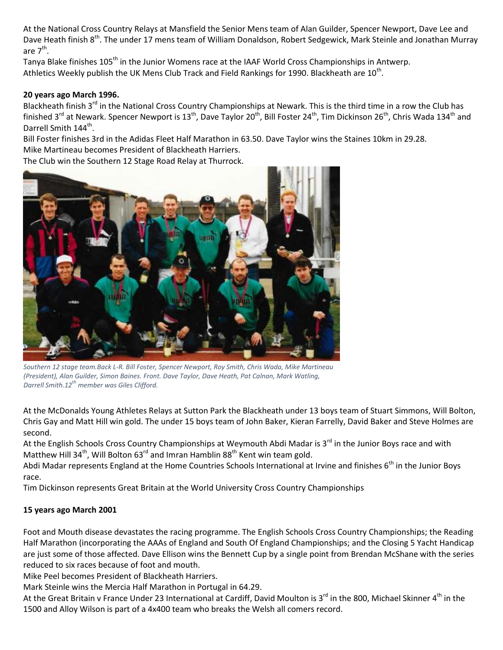At the National Cross Country Relays at Mansfield the Senior Mens team of Alan Guilder, Spencer Newport, Dave Lee and Dave Heath finish 8<sup>th</sup>. The under 17 mens team of William Donaldson, Robert Sedgewick, Mark Steinle and Jonathan Murray are  $7^{\text{th}}$ .

Tanya Blake finishes 105<sup>th</sup> in the Junior Womens race at the IAAF World Cross Championships in Antwerp. Athletics Weekly publish the UK Mens Club Track and Field Rankings for 1990. Blackheath are 10<sup>th</sup>.

## **20 years ago March 1996.**

Blackheath finish 3<sup>rd</sup> in the National Cross Country Championships at Newark. This is the third time in a row the Club has finished 3<sup>rd</sup> at Newark. Spencer Newport is 13<sup>th</sup>, Dave Taylor 20<sup>th</sup>, Bill Foster 24<sup>th</sup>, Tim Dickinson 26<sup>th</sup>, Chris Wada 134<sup>th</sup> and Darrell Smith 144<sup>th</sup>.

Bill Foster finishes 3rd in the Adidas Fleet Half Marathon in 63.50. Dave Taylor wins the Staines 10km in 29.28. Mike Martineau becomes President of Blackheath Harriers.

The Club win the Southern 12 Stage Road Relay at Thurrock.



*Southern 12 stage team.Back L-R. Bill Foster, Spencer Newport, Roy Smith, Chris Wada, Mike Martineau (President), Alan Guilder, Simon Baines. Front. Dave Taylor, Dave Heath, Pat Calnan, Mark Watling, Darrell Smith.12th member was Giles Clifford.*

At the McDonalds Young Athletes Relays at Sutton Park the Blackheath under 13 boys team of Stuart Simmons, Will Bolton, Chris Gay and Matt Hill win gold. The under 15 boys team of John Baker, Kieran Farrelly, David Baker and Steve Holmes are second.

At the English Schools Cross Country Championships at Weymouth Abdi Madar is 3<sup>rd</sup> in the Junior Boys race and with Matthew Hill 34<sup>th</sup>, Will Bolton 63<sup>rd</sup> and Imran Hamblin 88<sup>th</sup> Kent win team gold.

Abdi Madar represents England at the Home Countries Schools International at Irvine and finishes  $6<sup>th</sup>$  in the Junior Boys race.

Tim Dickinson represents Great Britain at the World University Cross Country Championships

## **15 years ago March 2001**

Foot and Mouth disease devastates the racing programme. The English Schools Cross Country Championships; the Reading Half Marathon (incorporating the AAAs of England and South Of England Championships; and the Closing 5 Yacht Handicap are just some of those affected. Dave Ellison wins the Bennett Cup by a single point from Brendan McShane with the series reduced to six races because of foot and mouth.

Mike Peel becomes President of Blackheath Harriers.

Mark Steinle wins the Mercia Half Marathon in Portugal in 64.29.

At the Great Britain v France Under 23 International at Cardiff, David Moulton is 3<sup>rd</sup> in the 800, Michael Skinner 4<sup>th</sup> in the 1500 and Alloy Wilson is part of a 4x400 team who breaks the Welsh all comers record.